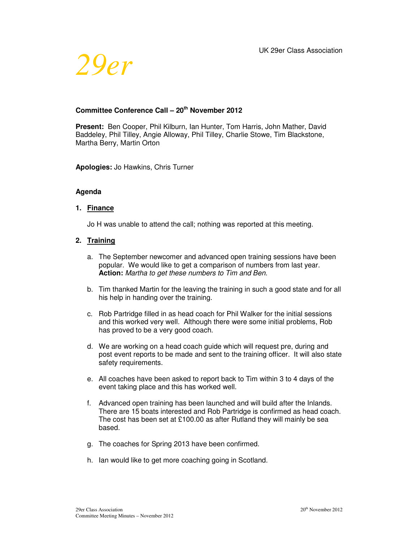

# **Committee Conference Call – 20th November 2012**

**Present:** Ben Cooper, Phil Kilburn, Ian Hunter, Tom Harris, John Mather, David Baddeley, Phil Tilley, Angie Alloway, Phil Tilley, Charlie Stowe, Tim Blackstone, Martha Berry, Martin Orton

**Apologies:** Jo Hawkins, Chris Turner

#### **Agenda**

#### **1. Finance**

Jo H was unable to attend the call; nothing was reported at this meeting.

#### **2. Training**

- a. The September newcomer and advanced open training sessions have been popular. We would like to get a comparison of numbers from last year. **Action:** Martha to get these numbers to Tim and Ben.
- b. Tim thanked Martin for the leaving the training in such a good state and for all his help in handing over the training.
- c. Rob Partridge filled in as head coach for Phil Walker for the initial sessions and this worked very well. Although there were some initial problems, Rob has proved to be a very good coach.
- d. We are working on a head coach guide which will request pre, during and post event reports to be made and sent to the training officer. It will also state safety requirements.
- e. All coaches have been asked to report back to Tim within 3 to 4 days of the event taking place and this has worked well.
- f. Advanced open training has been launched and will build after the Inlands. There are 15 boats interested and Rob Partridge is confirmed as head coach. The cost has been set at £100.00 as after Rutland they will mainly be sea based.
- g. The coaches for Spring 2013 have been confirmed.
- h. Ian would like to get more coaching going in Scotland.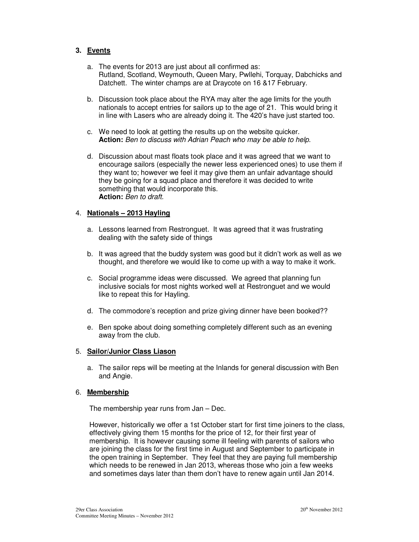### **3. Events**

- a. The events for 2013 are just about all confirmed as: Rutland, Scotland, Weymouth, Queen Mary, Pwllehi, Torquay, Dabchicks and Datchett. The winter champs are at Draycote on 16 &17 February.
- b. Discussion took place about the RYA may alter the age limits for the youth nationals to accept entries for sailors up to the age of 21. This would bring it in line with Lasers who are already doing it. The 420's have just started too.
- c. We need to look at getting the results up on the website quicker. **Action:** Ben to discuss with Adrian Peach who may be able to help.
- d. Discussion about mast floats took place and it was agreed that we want to encourage sailors (especially the newer less experienced ones) to use them if they want to; however we feel it may give them an unfair advantage should they be going for a squad place and therefore it was decided to write something that would incorporate this. **Action:** Ben to draft.

### 4. **Nationals – 2013 Hayling**

- a. Lessons learned from Restronguet. It was agreed that it was frustrating dealing with the safety side of things
- b. It was agreed that the buddy system was good but it didn't work as well as we thought, and therefore we would like to come up with a way to make it work.
- c. Social programme ideas were discussed. We agreed that planning fun inclusive socials for most nights worked well at Restronguet and we would like to repeat this for Hayling.
- d. The commodore's reception and prize giving dinner have been booked??
- e. Ben spoke about doing something completely different such as an evening away from the club.

### 5. **Sailor/Junior Class Liason**

a. The sailor reps will be meeting at the Inlands for general discussion with Ben and Angie.

### 6. **Membership**

The membership year runs from Jan – Dec.

However, historically we offer a 1st October start for first time joiners to the class, effectively giving them 15 months for the price of 12, for their first year of membership. It is however causing some ill feeling with parents of sailors who are joining the class for the first time in August and September to participate in the open training in September. They feel that they are paying full membership which needs to be renewed in Jan 2013, whereas those who join a few weeks and sometimes days later than them don't have to renew again until Jan 2014.